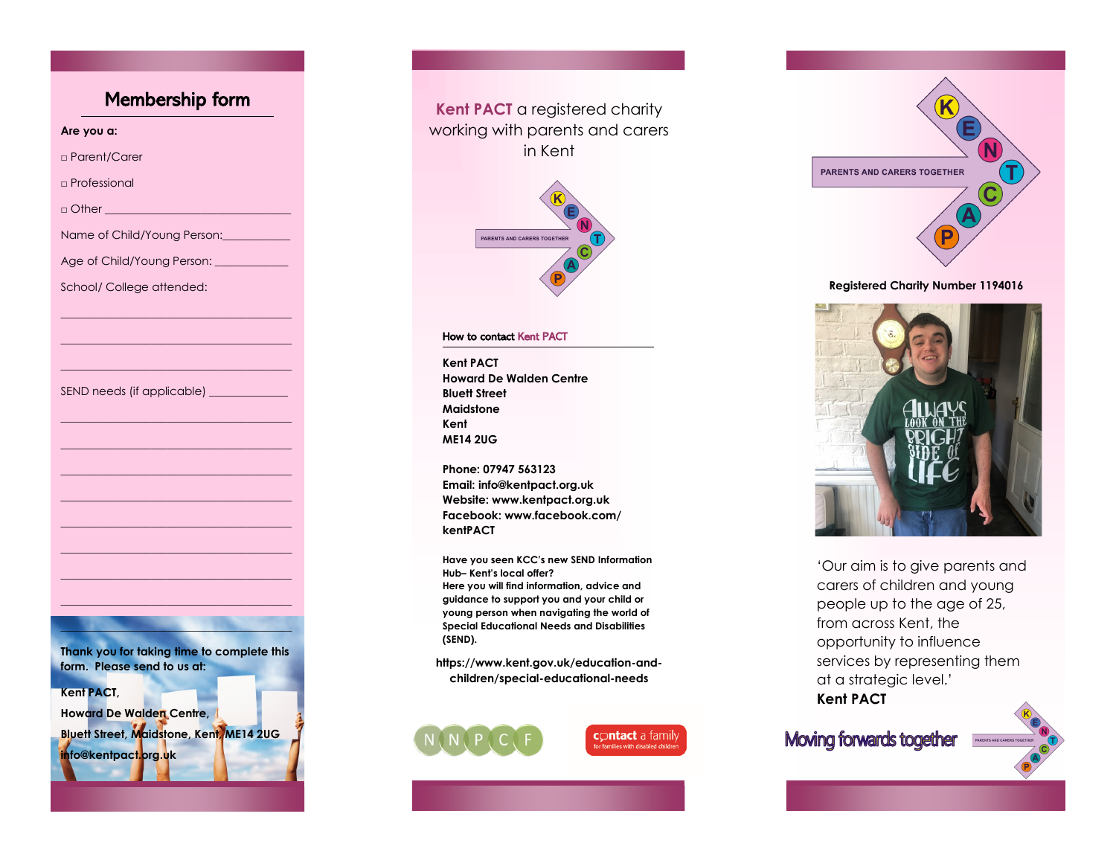## Membership form

#### **Are you a:**

□ Parent/Carer

□ Professional

 $\Box$  Other

Name of Child/Young Person:

\_\_\_\_\_\_\_\_\_\_\_\_\_\_\_\_\_\_\_\_\_\_\_\_\_\_\_\_\_\_\_\_\_\_\_\_\_\_\_\_\_  $\mathcal{L}_\mathcal{L}$  , where  $\mathcal{L}_\mathcal{L}$  is the set of the set of the set of the set of the set of the set of the set of the set of the set of the set of the set of the set of the set of the set of the set of the set of the

 $\mathcal{L}_\text{max}$  , and the set of the set of the set of the set of the set of the set of the set of the set of the set of the set of the set of the set of the set of the set of the set of the set of the set of the set of the  $\mathcal{L}_\text{max}$  , and the set of the set of the set of the set of the set of the set of the set of the set of the set of the set of the set of the set of the set of the set of the set of the set of the set of the set of the

\_\_\_\_\_\_\_\_\_\_\_\_\_\_\_\_\_\_\_\_\_\_\_\_\_\_\_\_\_\_\_\_\_\_\_\_\_\_\_\_\_  $\mathcal{L}_\mathcal{L}$  , where  $\mathcal{L}_\mathcal{L}$  is the set of the set of the set of the set of the set of the set of the set of the set of the set of the set of the set of the set of the set of the set of the set of the set of the  $\mathcal{L}_\text{max}$  , and the set of the set of the set of the set of the set of the set of the set of the set of the set of the set of the set of the set of the set of the set of the set of the set of the set of the set of the  $\mathcal{L}_\text{max}$  , and the set of the set of the set of the set of the set of the set of the set of the set of the set of the set of the set of the set of the set of the set of the set of the set of the set of the set of the  $\mathcal{L}_\mathcal{L}$  , where  $\mathcal{L}_\mathcal{L}$  is the set of the set of the set of the set of the set of the set of the set of the set of the set of the set of the set of the set of the set of the set of the set of the set of the \_\_\_\_\_\_\_\_\_\_\_\_\_\_\_\_\_\_\_\_\_\_\_\_\_\_\_\_\_\_\_\_\_\_\_\_\_\_\_\_\_

Age of Child/Young Person:

School/ College attended:

SEND needs (if applicable) \_

**Thank you for taking time to complete this form. Please send to us at:** 

**Kent PACT,** 

**Howard De Walden Centre, Bluett Street, Maidstone, Kent, ME14 2UG**

**info@kentpact.org.uk**

## **Kent PACT** a registered charity working with parents and carers in Kent



#### How to contact Kent PACT

**Kent PACT Howard De Walden Centre Bluett Street Maidstone Kent ME14 2UG** 

**Phone: 07947 563123 Email: info@kentpact.org.uk Website: www.kentpact.org.uk Facebook: www.facebook.com/ kentPACT**

**Have you seen KCC's new SEND Information Hub– Kent's local offer? Here you will find information, advice and guidance to support you and your child or young person when navigating the world of Special Educational Needs and Disabilities (SEND).**

**https://www.kent.gov.uk/education-andchildren/special-educational-needs**







#### **Registered Charity Number 1194016**



'Our aim is to give parents and carers of children and young people up to the age of 25, from across Kent, the opportunity to influence services by representing them at a strategic level.' **Kent PACT**

Moving forwards together